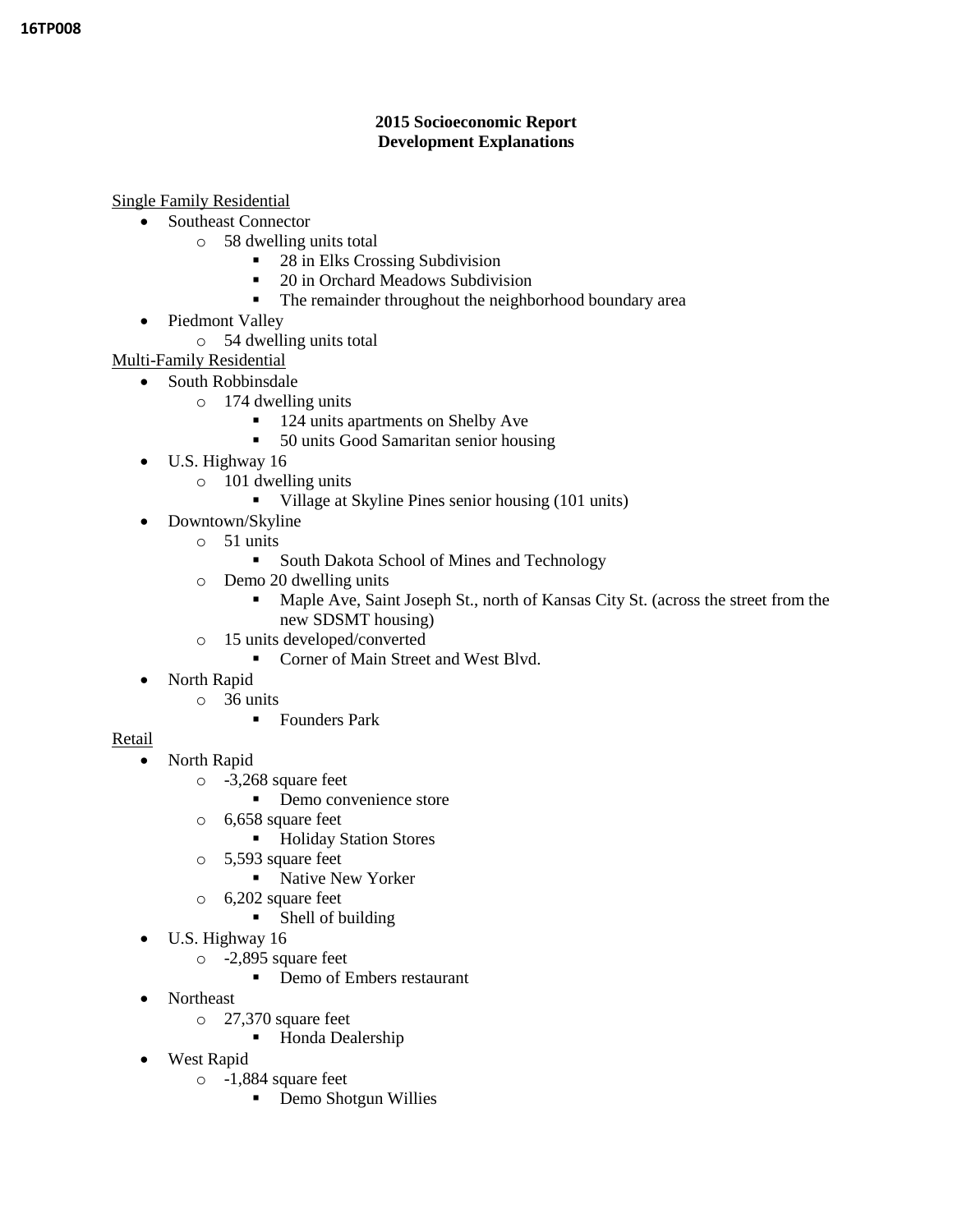### **2015 Socioeconomic Report Development Explanations**

Single Family Residential

- Southeast Connector
	- o 58 dwelling units total
		- 28 in Elks Crossing Subdivision
		- 20 in Orchard Meadows Subdivision
		- The remainder throughout the neighborhood boundary area
- Piedmont Valley
	- o 54 dwelling units total
- Multi-Family Residential
- South Robbinsdale
	- o 174 dwelling units
		- 124 units apartments on Shelby Ave
		- 50 units Good Samaritan senior housing
	- $\bullet$  U.S. Highway 16
		- o 101 dwelling units
			- Village at Skyline Pines senior housing (101 units)
	- Downtown/Skyline
		- o 51 units
			- **South Dakota School of Mines and Technology**
		- o Demo 20 dwelling units
			- Maple Ave, Saint Joseph St., north of Kansas City St. (across the street from the new SDSMT housing)
		- o 15 units developed/converted
			- Corner of Main Street and West Blvd.
	- North Rapid
		- o 36 units
			- **Founders Park**
- Retail
	- North Rapid
		- o -3,268 square feet
			- Demo convenience store
		- o 6,658 square feet
			- **Holiday Station Stores**
		- o 5,593 square feet
			- Native New Yorker
		- o 6,202 square feet
			- Shell of building
	- U.S. Highway 16
		- o -2,895 square feet
			- Demo of Embers restaurant
	- Northeast
		- o 27,370 square feet
			- Honda Dealership
	- West Rapid
		- o -1,884 square feet
			- Demo Shotgun Willies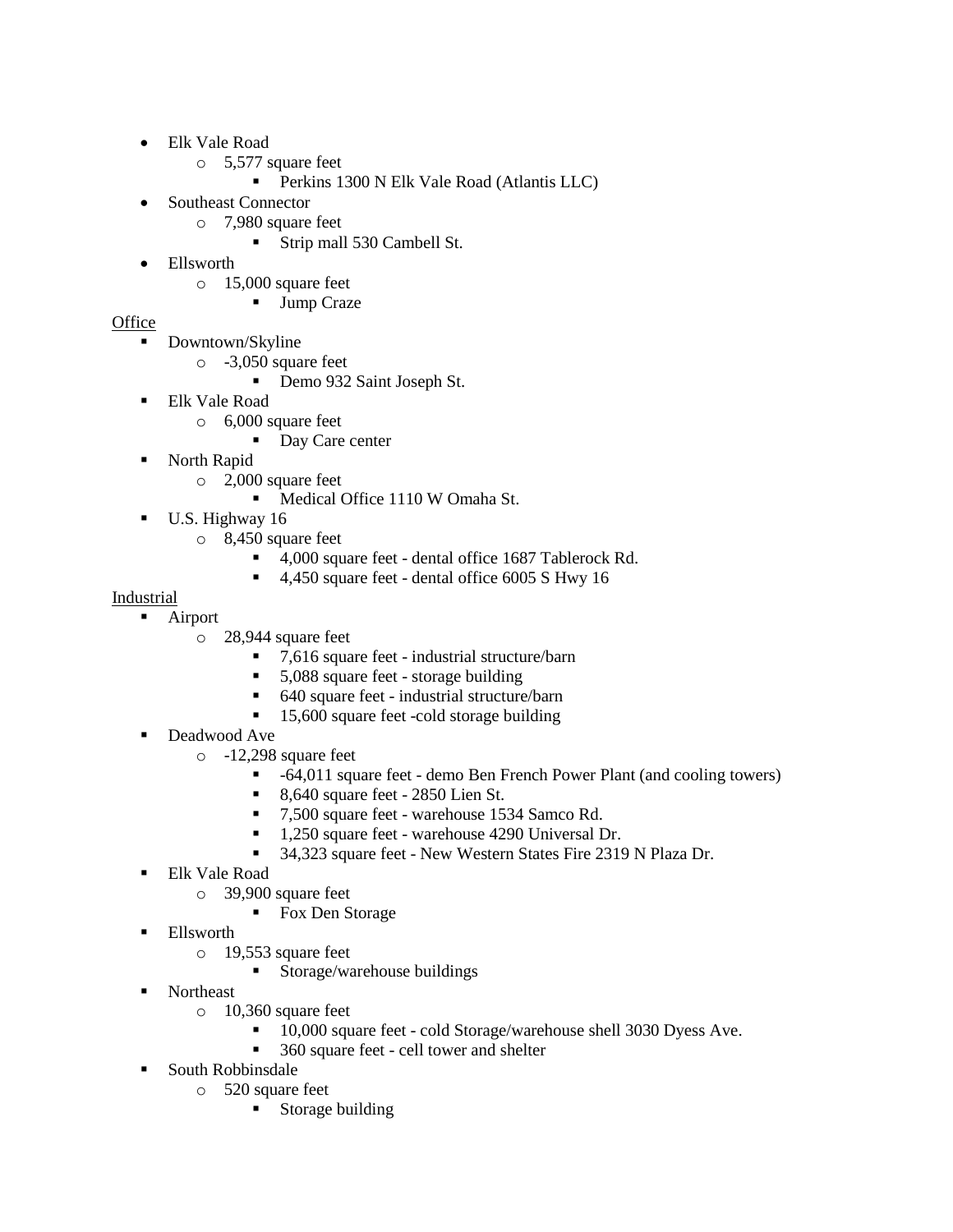- Elk Vale Road
	- o 5,577 square feet
		- **Perkins 1300 N Elk Vale Road (Atlantis LLC)**
- Southeast Connector
	- o 7,980 square feet
		- Strip mall 530 Cambell St.
- Ellsworth
	- o 15,000 square feet

### Jump Craze

# **Office**

- Downtown/Skyline
	- o -3,050 square feet
		- Demo 932 Saint Joseph St.
- Elk Vale Road
	- o 6,000 square feet
		- Day Care center
- North Rapid
	- o 2,000 square feet
		- Medical Office 1110 W Omaha St.
- U.S. Highway 16
	- o 8,450 square feet
		- 4,000 square feet dental office 1687 Tablerock Rd.
		- 4,450 square feet dental office 6005 S Hwy 16

### Industrial

- **Airport** 
	- o 28,944 square feet
		- 7,616 square feet industrial structure/barn
		- 5,088 square feet storage building
		- 640 square feet industrial structure/barn
		- 15,600 square feet -cold storage building
- Deadwood Ave
	- o -12,298 square feet
		- -64,011 square feet demo Ben French Power Plant (and cooling towers)
		- 8,640 square feet 2850 Lien St.
		- 7,500 square feet warehouse 1534 Samco Rd.
		- 1,250 square feet warehouse 4290 Universal Dr.
		- 34,323 square feet New Western States Fire 2319 N Plaza Dr.
- Elk Vale Road
	- o 39,900 square feet
		- Fox Den Storage
- **Ellsworth** 
	- o 19,553 square feet
		- **Storage/warehouse buildings**
- Northeast
	- o 10,360 square feet
		- <sup>10,000</sup> square feet cold Storage/warehouse shell 3030 Dyess Ave.
		- 360 square feet cell tower and shelter
- **South Robbinsdale** 
	- o 520 square feet
		- **Storage building**